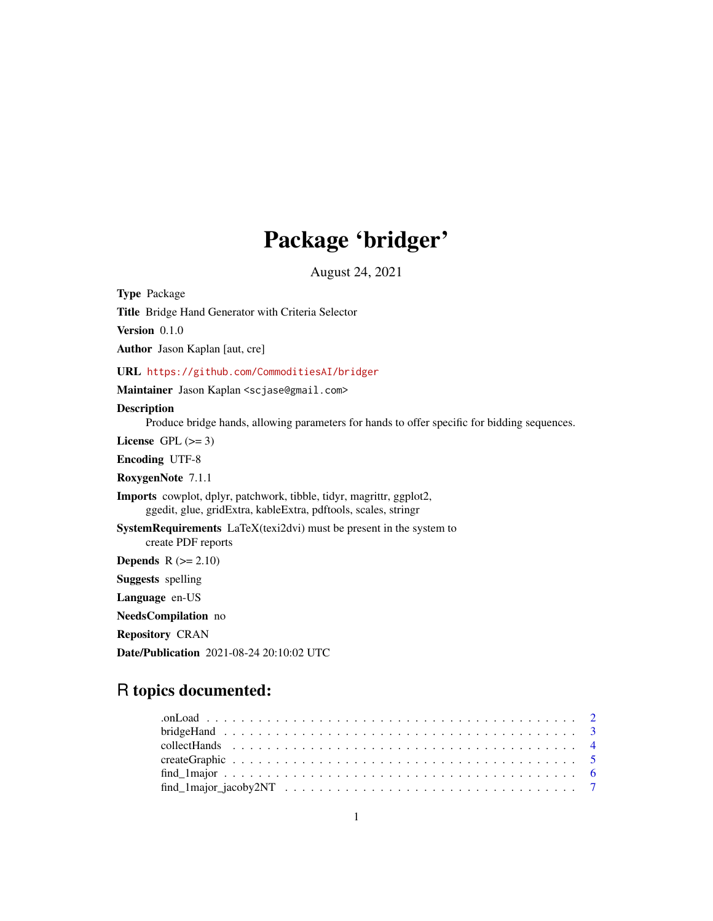# Package 'bridger'

August 24, 2021

Type Package Title Bridge Hand Generator with Criteria Selector

Version 0.1.0

Author Jason Kaplan [aut, cre]

URL <https://github.com/CommoditiesAI/bridger>

Maintainer Jason Kaplan <scjase@gmail.com>

#### Description

Produce bridge hands, allowing parameters for hands to offer specific for bidding sequences.

License GPL  $(>= 3)$ 

Encoding UTF-8

RoxygenNote 7.1.1

Imports cowplot, dplyr, patchwork, tibble, tidyr, magrittr, ggplot2, ggedit, glue, gridExtra, kableExtra, pdftools, scales, stringr

SystemRequirements LaTeX(texi2dvi) must be present in the system to create PDF reports

**Depends**  $R$  ( $>= 2.10$ )

Suggests spelling

Language en-US

NeedsCompilation no

Repository CRAN

Date/Publication 2021-08-24 20:10:02 UTC

# R topics documented: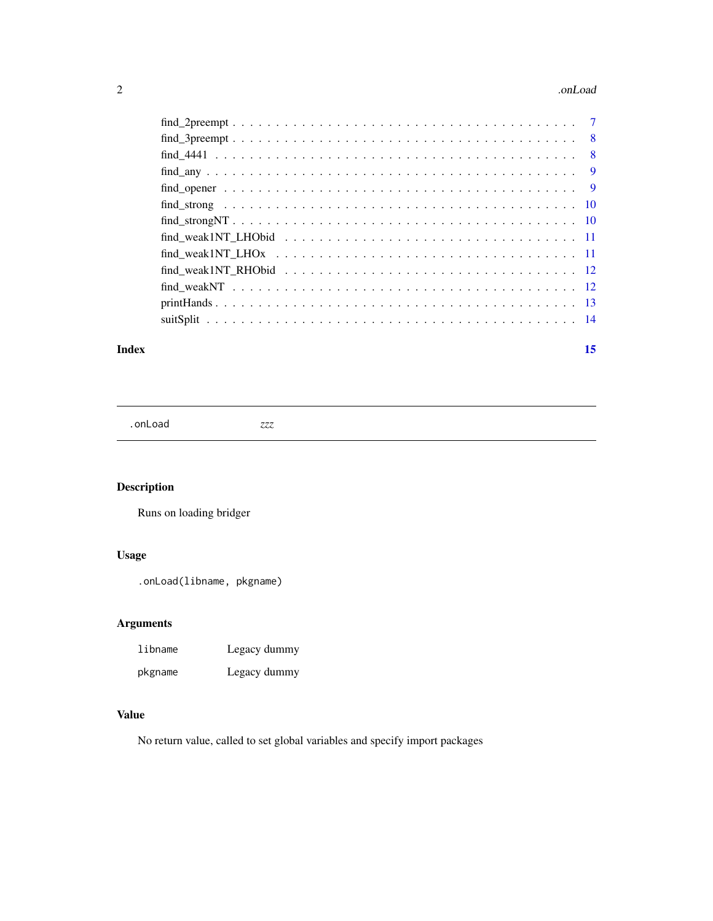#### <span id="page-1-0"></span>2 . Concluded to the contract of the conclusion of the conclusion of the conclusion of the conclusion of the conclusion of the conclusion of the conclusion of the conclusion of the conclusion of the conclusion of the concl

#### **Index** [15](#page-14-0)

.onLoad *zzz*

# Description

Runs on loading bridger

# Usage

.onLoad(libname, pkgname)

# Arguments

| libname | Legacy dummy |
|---------|--------------|
| pkgname | Legacy dummy |

# Value

No return value, called to set global variables and specify import packages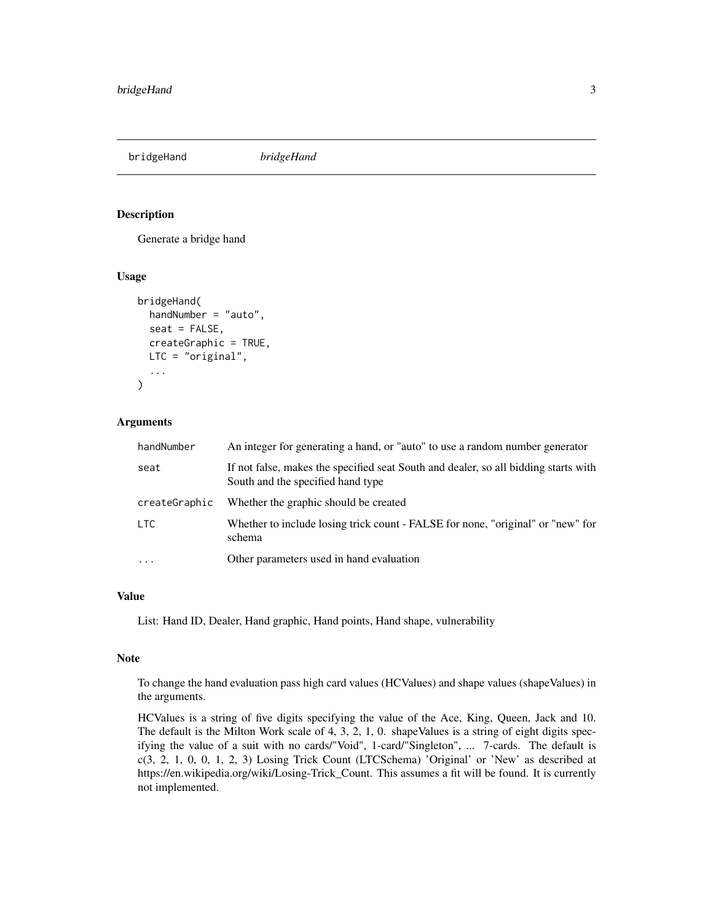<span id="page-2-0"></span>bridgeHand *bridgeHand*

#### Description

Generate a bridge hand

#### Usage

```
bridgeHand(
  handNumber = "auto",
  seat = FALSE,
  createGraphic = TRUE,
 LTC = "original",
  ...
\mathcal{L}
```
#### Arguments

| handNumber    | An integer for generating a hand, or "auto" to use a random number generator                                             |
|---------------|--------------------------------------------------------------------------------------------------------------------------|
| seat          | If not false, makes the specified seat South and dealer, so all bidding starts with<br>South and the specified hand type |
| createGraphic | Whether the graphic should be created                                                                                    |
| LTC           | Whether to include losing trick count - FALSE for none, "original" or "new" for<br>schema                                |
| $\ddotsc$     | Other parameters used in hand evaluation                                                                                 |

# Value

List: Hand ID, Dealer, Hand graphic, Hand points, Hand shape, vulnerability

#### Note

To change the hand evaluation pass high card values (HCValues) and shape values (shapeValues) in the arguments.

HCValues is a string of five digits specifying the value of the Ace, King, Queen, Jack and 10. The default is the Milton Work scale of 4, 3, 2, 1, 0. shapeValues is a string of eight digits specifying the value of a suit with no cards/"Void", 1-card/"Singleton", ... 7-cards. The default is c(3, 2, 1, 0, 0, 1, 2, 3) Losing Trick Count (LTCSchema) 'Original' or 'New' as described at https://en.wikipedia.org/wiki/Losing-Trick\_Count. This assumes a fit will be found. It is currently not implemented.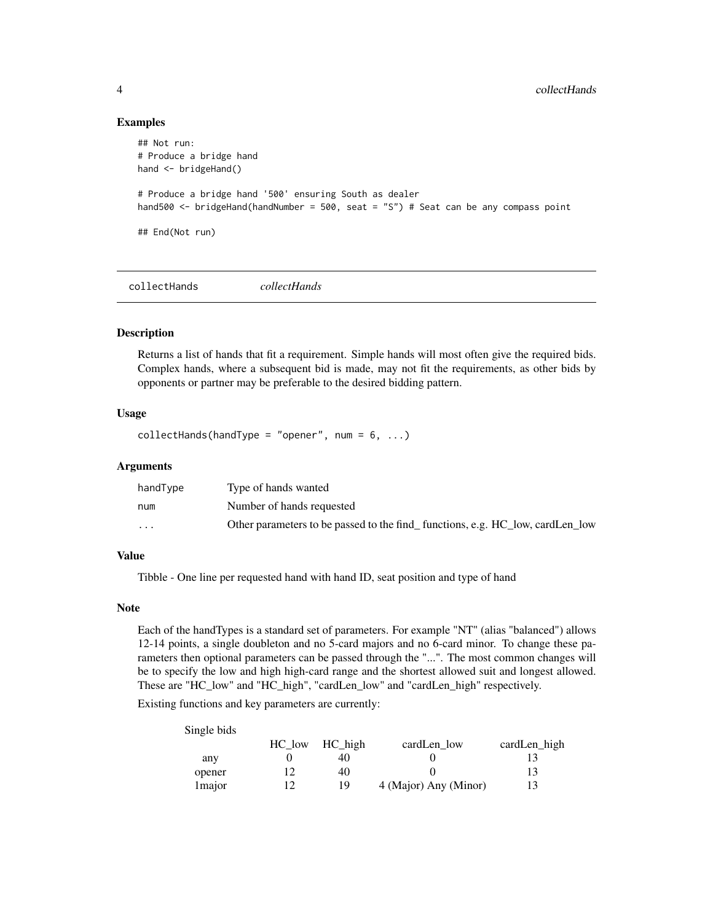#### Examples

```
## Not run:
# Produce a bridge hand
hand <- bridgeHand()
# Produce a bridge hand '500' ensuring South as dealer
hand500 <- bridgeHand(handNumber = 500, seat = "S") # Seat can be any compass point
## End(Not run)
```
collectHands *collectHands*

# Description

Returns a list of hands that fit a requirement. Simple hands will most often give the required bids. Complex hands, where a subsequent bid is made, may not fit the requirements, as other bids by opponents or partner may be preferable to the desired bidding pattern.

#### Usage

collectHands(handType = "opener", num =  $6, ...$ )

#### Arguments

| handType                | Type of hands wanted                                                          |
|-------------------------|-------------------------------------------------------------------------------|
| num                     | Number of hands requested                                                     |
| $\cdot$ $\cdot$ $\cdot$ | Other parameters to be passed to the find functions, e.g. HC low, cardLen low |

#### Value

Tibble - One line per requested hand with hand ID, seat position and type of hand

#### Note

Each of the handTypes is a standard set of parameters. For example "NT" (alias "balanced") allows 12-14 points, a single doubleton and no 5-card majors and no 6-card minor. To change these parameters then optional parameters can be passed through the "...". The most common changes will be to specify the low and high high-card range and the shortest allowed suit and longest allowed. These are "HC\_low" and "HC\_high", "cardLen\_low" and "cardLen\_high" respectively.

Existing functions and key parameters are currently:

| Single bids |        |         |                       |              |
|-------------|--------|---------|-----------------------|--------------|
|             | HC low | HC high | cardLen low           | cardLen high |
| any         |        |         |                       |              |
| opener      | 12     | 40      |                       | 13           |
| 1 major     | 12     | 19      | 4 (Major) Any (Minor) |              |

<span id="page-3-0"></span>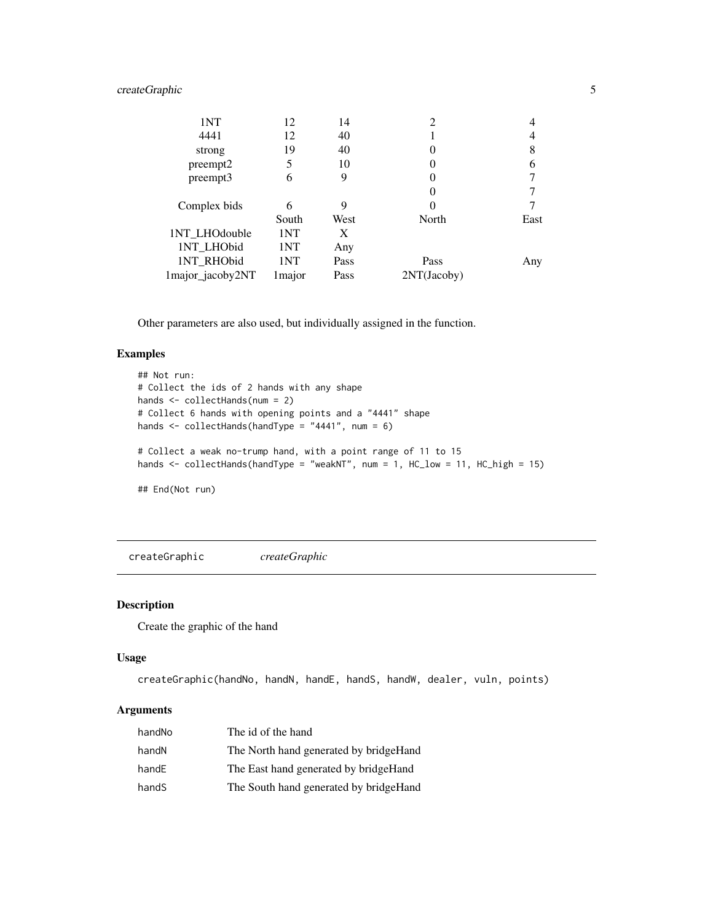# <span id="page-4-0"></span>createGraphic 5

| 1NT              | 12      | 14   | $\overline{c}$ |      |
|------------------|---------|------|----------------|------|
| 4441             | 12      | 40   |                | 4    |
| strong           | 19      | 40   | 0              | 8    |
| preempt2         | 5       | 10   | 0              | 6    |
| preempt3         | 6       | 9    | 0              |      |
|                  |         |      | 0              |      |
| Complex bids     | 6       | 9    | $\theta$       |      |
|                  | South   | West | North          | East |
| 1NT_LHOdouble    | 1NT     | X    |                |      |
| 1NT_LHObid       | 1NT     | Any  |                |      |
| 1NT_RHObid       | 1NT     | Pass | Pass           | Any  |
| 1major_jacoby2NT | 1 major | Pass | 2NT(Jacoby)    |      |

Other parameters are also used, but individually assigned in the function.

#### Examples

```
## Not run:
# Collect the ids of 2 hands with any shape
hands <- collectHands(num = 2)
# Collect 6 hands with opening points and a "4441" shape
hands <- collectHands(handType = "4441", num = 6)
# Collect a weak no-trump hand, with a point range of 11 to 15
hands <- collectHands(handType = "weakNT", num = 1, HC_low = 11, HC_high = 15)
## End(Not run)
```
createGraphic *createGraphic*

#### Description

Create the graphic of the hand

#### Usage

```
createGraphic(handNo, handN, handE, handS, handW, dealer, vuln, points)
```
#### Arguments

| handNo | The id of the hand                      |
|--------|-----------------------------------------|
| handN  | The North hand generated by bridge Hand |
| handE  | The East hand generated by bridge Hand  |
| handS  | The South hand generated by bridgeHand  |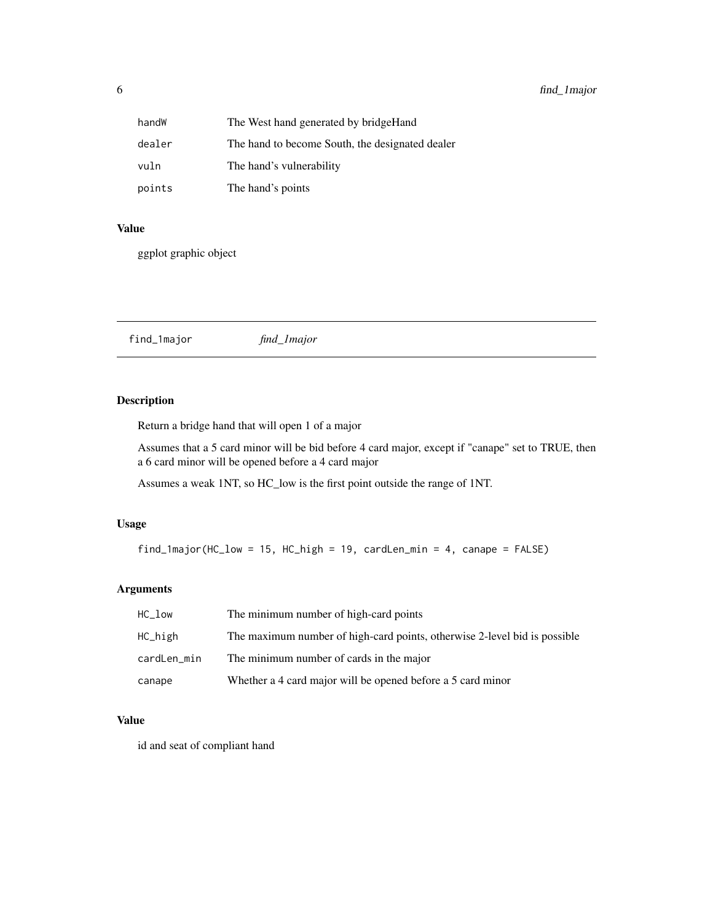<span id="page-5-0"></span>

| handW  | The West hand generated by bridge Hand          |
|--------|-------------------------------------------------|
| dealer | The hand to become South, the designated dealer |
| vuln   | The hand's vulnerability                        |
| points | The hand's points                               |

#### Value

ggplot graphic object

find\_1major *find\_1major*

# Description

Return a bridge hand that will open 1 of a major

Assumes that a 5 card minor will be bid before 4 card major, except if "canape" set to TRUE, then a 6 card minor will be opened before a 4 card major

Assumes a weak 1NT, so HC\_low is the first point outside the range of 1NT.

# Usage

find\_1major(HC\_low = 15, HC\_high = 19, cardLen\_min = 4, canape = FALSE)

#### Arguments

| $HC_1$ ow   | The minimum number of high-card points                                    |
|-------------|---------------------------------------------------------------------------|
| HC_high     | The maximum number of high-card points, otherwise 2-level bid is possible |
| cardLen_min | The minimum number of cards in the major                                  |
| canape      | Whether a 4 card major will be opened before a 5 card minor               |

#### Value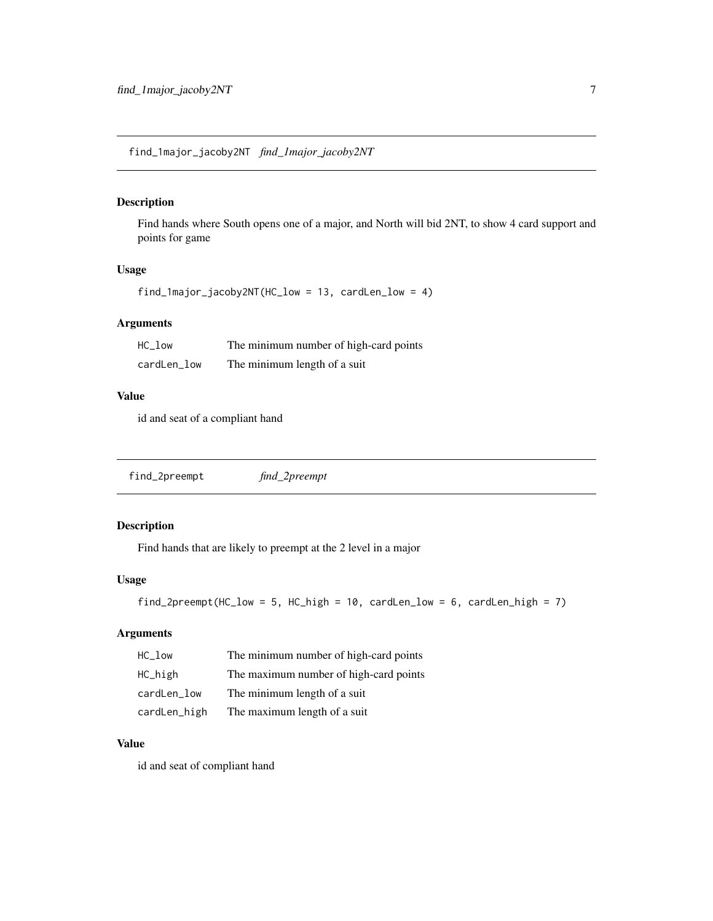<span id="page-6-0"></span>find\_1major\_jacoby2NT *find\_1major\_jacoby2NT*

# Description

Find hands where South opens one of a major, and North will bid 2NT, to show 4 card support and points for game

# Usage

```
find_1major_jacoby2NT(HC_low = 13, cardLen_low = 4)
```
# Arguments

| $HC_1ow$    | The minimum number of high-card points |
|-------------|----------------------------------------|
| cardLen_low | The minimum length of a suit           |

#### Value

id and seat of a compliant hand

find\_2preempt *find\_2preempt*

# Description

Find hands that are likely to preempt at the 2 level in a major

#### Usage

```
find_2preempt(HC_low = 5, HC_high = 10, cardLen_low = 6, cardLen_high = 7)
```
# Arguments

| HC low       | The minimum number of high-card points |
|--------------|----------------------------------------|
| HC_high      | The maximum number of high-card points |
| cardLen_low  | The minimum length of a suit           |
| cardLen_high | The maximum length of a suit           |

# Value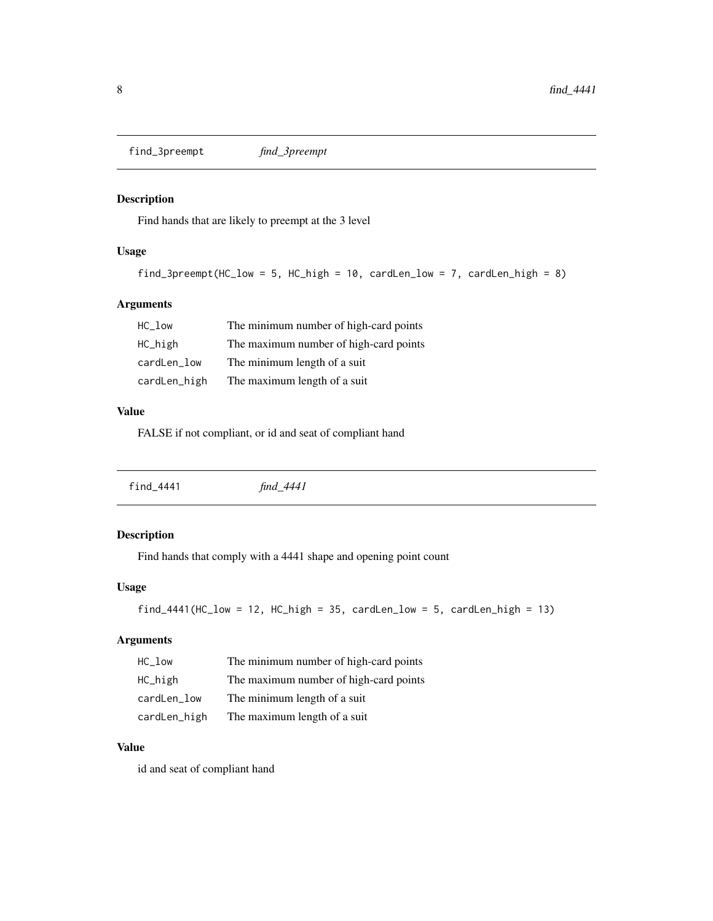<span id="page-7-0"></span>find\_3preempt *find\_3preempt*

# Description

Find hands that are likely to preempt at the 3 level

# Usage

```
find_3preempt(HC_low = 5, HC_high = 10, cardLen_low = 7, cardLen_high = 8)
```
# Arguments

| HC low       | The minimum number of high-card points |
|--------------|----------------------------------------|
| HC_high      | The maximum number of high-card points |
| cardLen_low  | The minimum length of a suit           |
| cardLen_high | The maximum length of a suit           |

#### Value

FALSE if not compliant, or id and seat of compliant hand

|--|

# Description

Find hands that comply with a 4441 shape and opening point count

# Usage

```
find_4441(HC_low = 12, HC_high = 35, cardLen_low = 5, cardLen_high = 13)
```
# Arguments

| $HC\_low$    | The minimum number of high-card points |
|--------------|----------------------------------------|
| HC_high      | The maximum number of high-card points |
| cardLen_low  | The minimum length of a suit           |
| cardLen_high | The maximum length of a suit           |

#### Value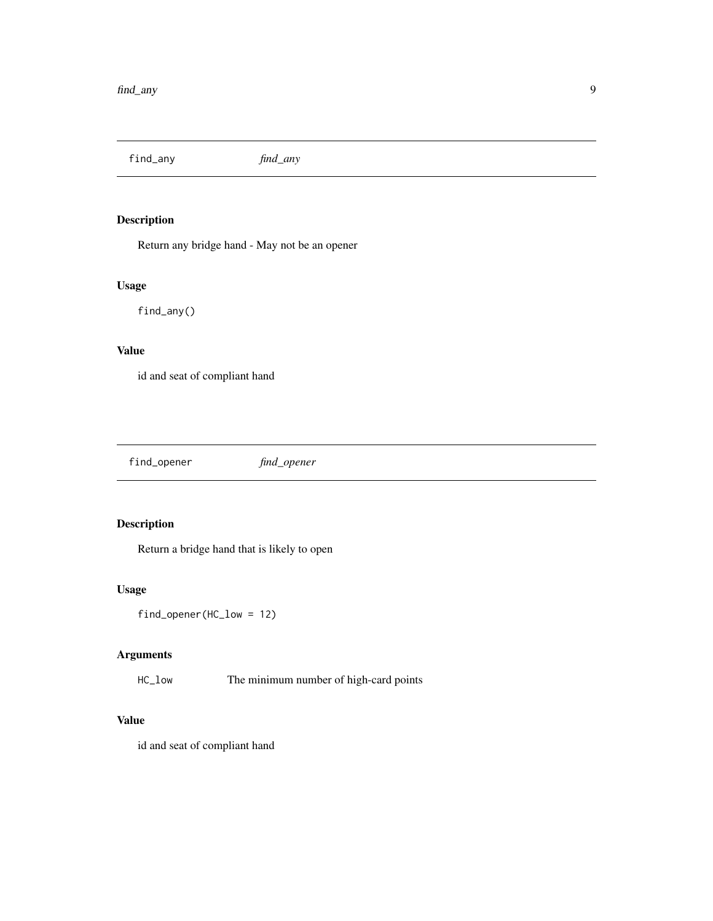<span id="page-8-0"></span>find\_any *find\_any*

# Description

Return any bridge hand - May not be an opener

# Usage

find\_any()

# Value

id and seat of compliant hand

find\_opener *find\_opener*

# Description

Return a bridge hand that is likely to open

# Usage

find\_opener(HC\_low = 12)

# Arguments

HC\_low The minimum number of high-card points

# Value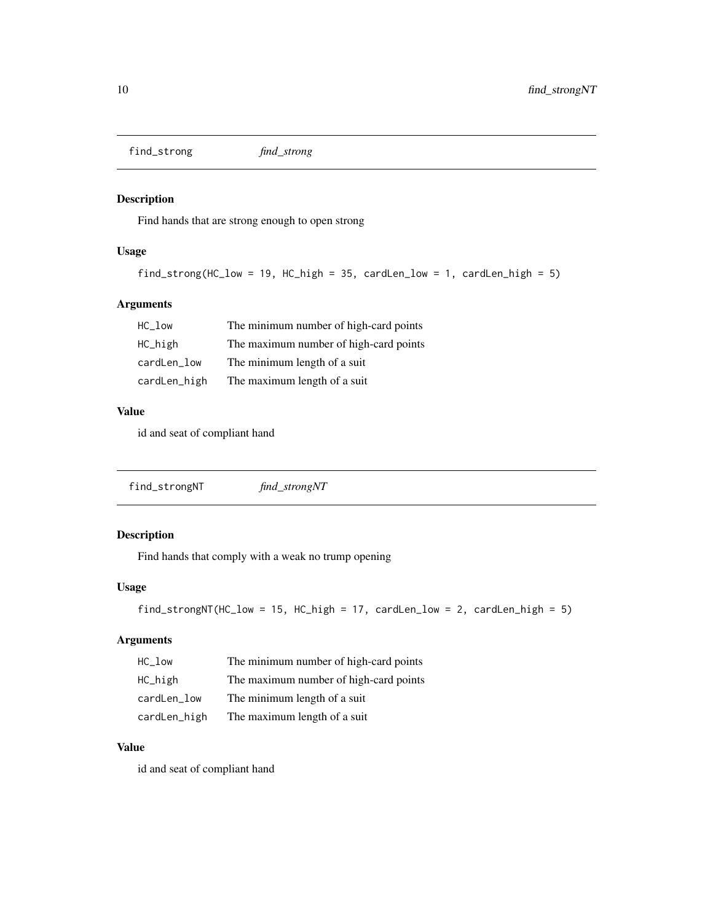<span id="page-9-0"></span>find\_strong *find\_strong*

# Description

Find hands that are strong enough to open strong

# Usage

```
find_strong(HC_low = 19, HC_high = 35, cardLen_low = 1, cardLen_high = 5)
```
# Arguments

| HC low       | The minimum number of high-card points |
|--------------|----------------------------------------|
| HC_high      | The maximum number of high-card points |
| cardLen_low  | The minimum length of a suit           |
| cardLen_high | The maximum length of a suit           |

#### Value

id and seat of compliant hand

| find_strongNT | find_strongNT |  |
|---------------|---------------|--|
|---------------|---------------|--|

# Description

Find hands that comply with a weak no trump opening

# Usage

```
find_strongNT(HC_low = 15, HC_high = 17, cardLen_low = 2, cardLen_high = 5)
```
# Arguments

| $HC\_low$    | The minimum number of high-card points |
|--------------|----------------------------------------|
| HC_high      | The maximum number of high-card points |
| cardLen_low  | The minimum length of a suit           |
| cardLen_high | The maximum length of a suit           |

#### Value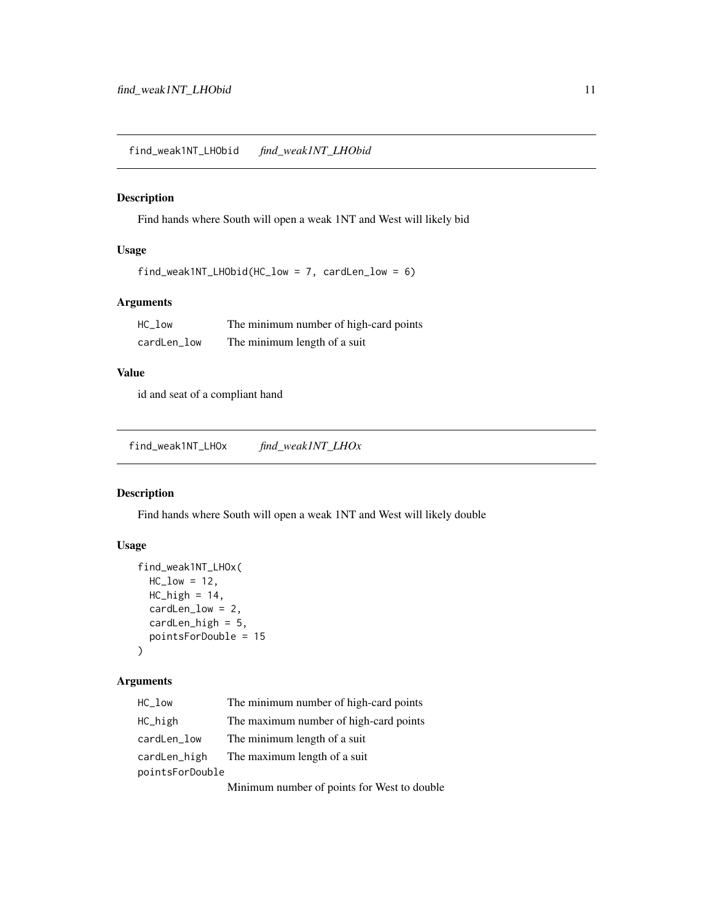<span id="page-10-0"></span>find\_weak1NT\_LHObid *find\_weak1NT\_LHObid*

# Description

Find hands where South will open a weak 1NT and West will likely bid

# Usage

find\_weak1NT\_LHObid(HC\_low = 7, cardLen\_low = 6)

# Arguments

| HC low      | The minimum number of high-card points |
|-------------|----------------------------------------|
| cardLen_low | The minimum length of a suit           |

# Value

id and seat of a compliant hand

find\_weak1NT\_LHOx *find\_weak1NT\_LHOx*

# Description

Find hands where South will open a weak 1NT and West will likely double

# Usage

```
find_weak1NT_LHOx(
 HC_low = 12,
 HC_{high} = 14,
 cardLen_low = 2,
 cardLen_high = 5,
 pointsForDouble = 15
)
```
#### Arguments

| $HC_$ Low       | The minimum number of high-card points      |
|-----------------|---------------------------------------------|
| HC_high         | The maximum number of high-card points      |
| cardLen_low     | The minimum length of a suit                |
| cardLen_high    | The maximum length of a suit                |
| pointsForDouble |                                             |
|                 | Minimum number of points for West to double |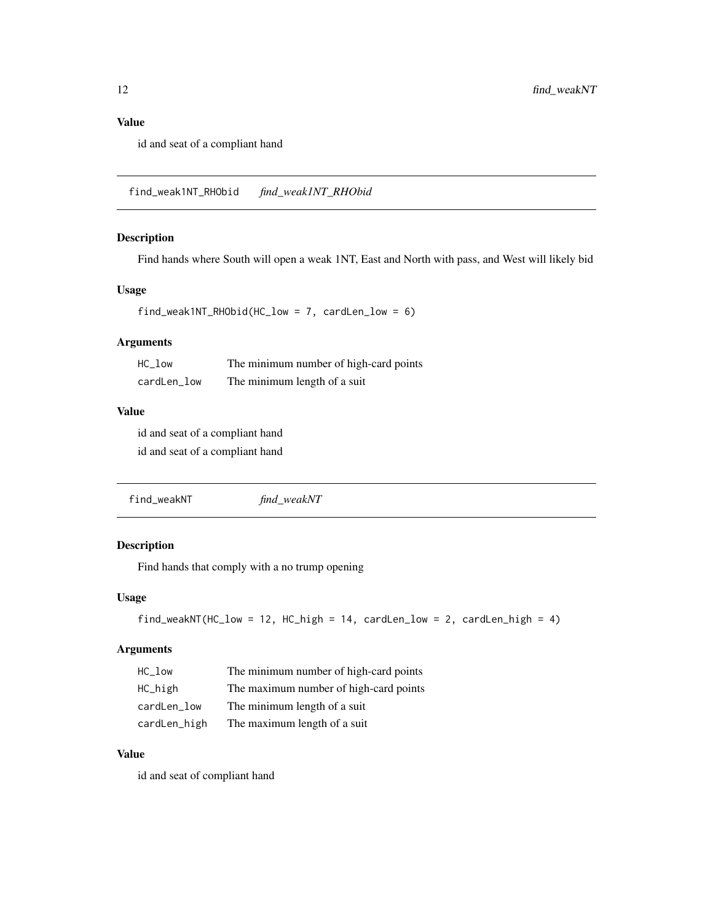# <span id="page-11-0"></span>Value

id and seat of a compliant hand

find\_weak1NT\_RHObid *find\_weak1NT\_RHObid*

# Description

Find hands where South will open a weak 1NT, East and North with pass, and West will likely bid

#### Usage

```
find_weak1NT_RHObid(HC_low = 7, cardLen_low = 6)
```
#### Arguments

| $HC_1$ ow   | The minimum number of high-card points |
|-------------|----------------------------------------|
| cardLen_low | The minimum length of a suit           |

#### Value

id and seat of a compliant hand id and seat of a compliant hand

find\_weakNT *find\_weakNT*

# Description

Find hands that comply with a no trump opening

# Usage

```
find_weakNT(HC_low = 12, HC_high = 14, cardLen_low = 2, cardLen_high = 4)
```
#### Arguments

| HC low       | The minimum number of high-card points |
|--------------|----------------------------------------|
| HC_high      | The maximum number of high-card points |
| cardLen_low  | The minimum length of a suit           |
| cardLen_high | The maximum length of a suit           |

# Value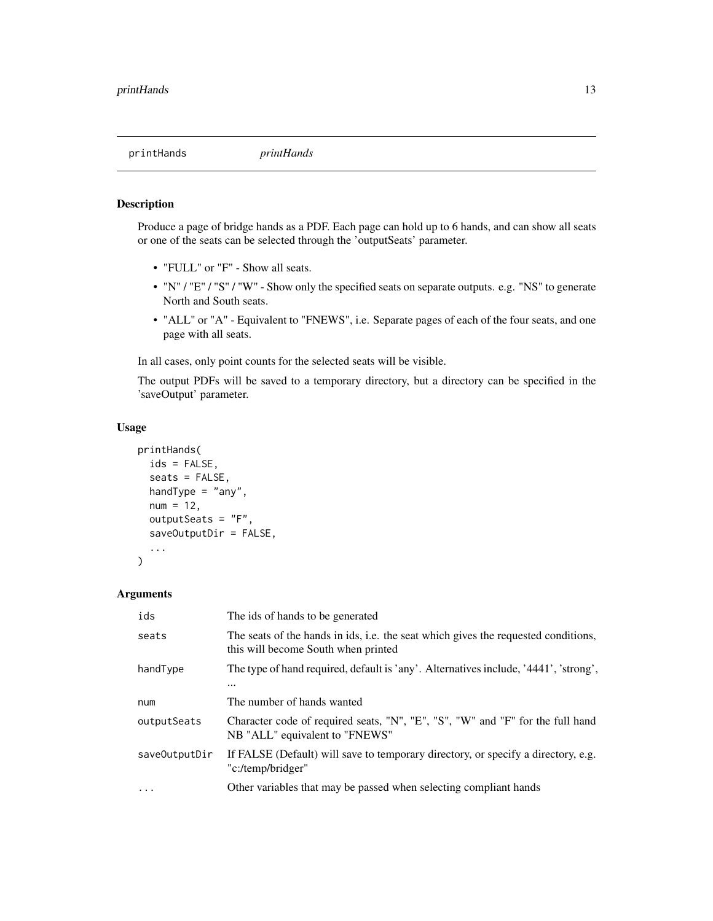<span id="page-12-0"></span>

# **Description**

Produce a page of bridge hands as a PDF. Each page can hold up to 6 hands, and can show all seats or one of the seats can be selected through the 'outputSeats' parameter.

- "FULL" or "F" Show all seats.
- "N" / "E" / "S" / "W" Show only the specified seats on separate outputs. e.g. "NS" to generate North and South seats.
- "ALL" or "A" Equivalent to "FNEWS", i.e. Separate pages of each of the four seats, and one page with all seats.

In all cases, only point counts for the selected seats will be visible.

The output PDFs will be saved to a temporary directory, but a directory can be specified in the 'saveOutput' parameter.

# Usage

```
printHands(
  ids = FALSE,
  seats = FALSE,
  handType = "any",
  num = 12,outputSeats = "F",
  saveOutputDir = FALSE,
  ...
)
```
#### Arguments

| ids           | The ids of hands to be generated                                                                                          |
|---------------|---------------------------------------------------------------------------------------------------------------------------|
| seats         | The seats of the hands in ids, i.e. the seat which gives the requested conditions,<br>this will become South when printed |
| handType      | The type of hand required, default is 'any'. Alternatives include, '4441', 'strong',                                      |
|               | $\cdots$                                                                                                                  |
| num           | The number of hands wanted                                                                                                |
| outputSeats   | Character code of required seats, "N", "E", "S", "W" and "F" for the full hand<br>NB "ALL" equivalent to "FNEWS"          |
| saveOutputDir | If FALSE (Default) will save to temporary directory, or specify a directory, e.g.<br>"c:/temp/bridger"                    |
| .             | Other variables that may be passed when selecting compliant hands                                                         |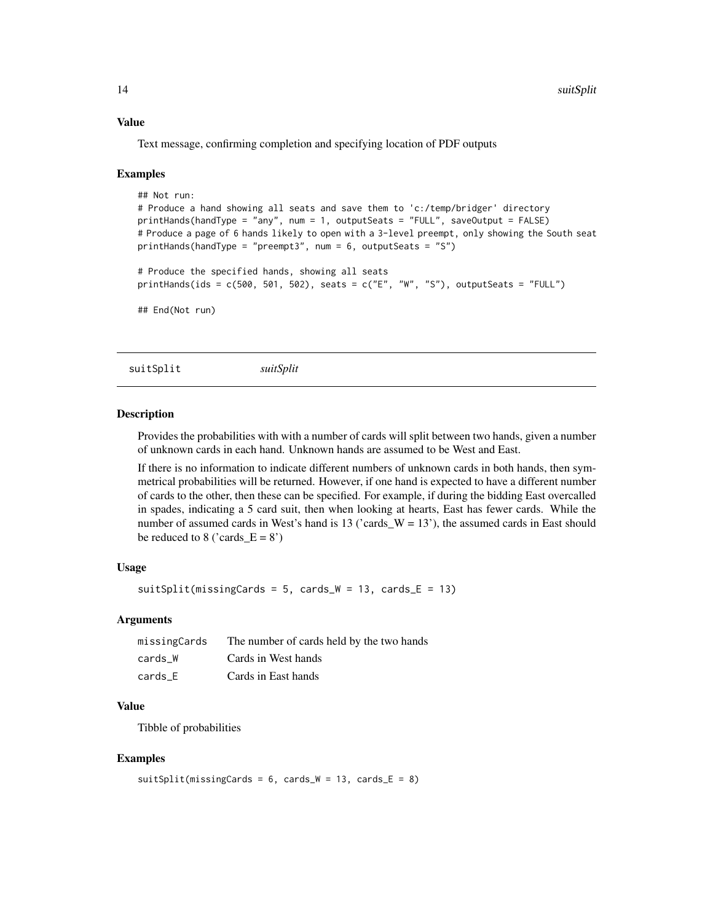#### <span id="page-13-0"></span>Value

Text message, confirming completion and specifying location of PDF outputs

#### Examples

```
## Not run:
# Produce a hand showing all seats and save them to 'c:/temp/bridger' directory
printHands(handType = "any", num = 1, outputSeats = "FULL", saveOutput = FALSE)
# Produce a page of 6 hands likely to open with a 3-level preempt, only showing the South seat
printHands(handType = "preempt3", num = 6, outputSeats = "S")
# Produce the specified hands, showing all seats
printHands(ids = c(500, 501, 502), seats = c("E", "W", "S"), outputSeats = "FULL")
## End(Not run)
```
suitSplit *suitSplit*

#### **Description**

Provides the probabilities with with a number of cards will split between two hands, given a number of unknown cards in each hand. Unknown hands are assumed to be West and East.

If there is no information to indicate different numbers of unknown cards in both hands, then symmetrical probabilities will be returned. However, if one hand is expected to have a different number of cards to the other, then these can be specified. For example, if during the bidding East overcalled in spades, indicating a 5 card suit, then when looking at hearts, East has fewer cards. While the number of assumed cards in West's hand is 13 ('cards\_W = 13'), the assumed cards in East should be reduced to 8 ('cards  $E = 8'$ )

#### Usage

```
suitSplit(missingCards = 5, cards_W = 13, cards_E = 13)
```
#### Arguments

| missingCards | The number of cards held by the two hands |
|--------------|-------------------------------------------|
| cards W      | Cards in West hands                       |
| cards E      | Cards in East hands                       |

#### Value

Tibble of probabilities

#### Examples

```
suitSplit(missingCards = 6, cards_W = 13, cards_E = 8)
```